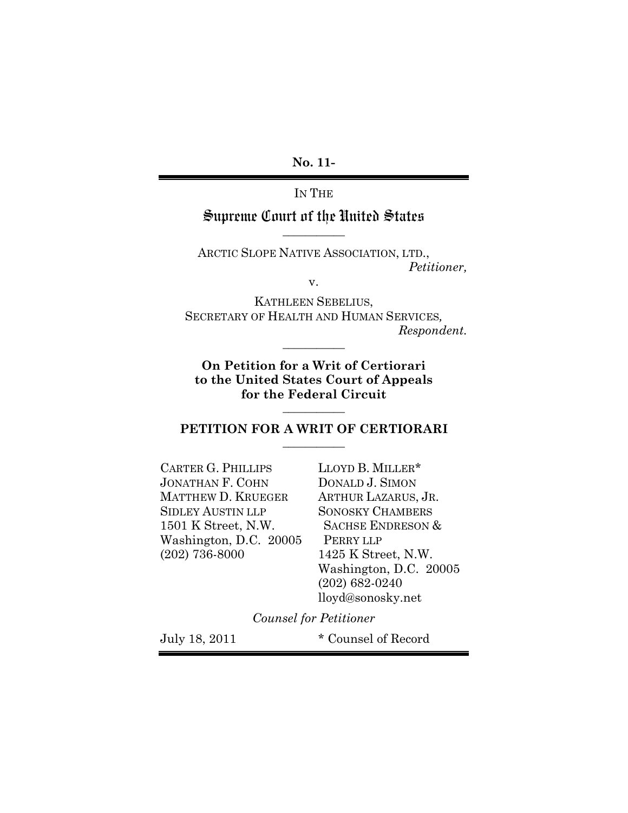**No. 11-**

IN THE

# Supreme Court of the United States **\_\_\_\_\_\_\_\_\_\_\_**

ARCTIC SLOPE NATIVE ASSOCIATION, LTD., *Petitioner,*

v.

KATHLEEN SEBELIUS, SECRETARY OF HEALTH AND HUMAN SERVICES*, Respondent.*

**On Petition for a Writ of Certiorari to the United States Court of Appeals for the Federal Circuit**

**\_\_\_\_\_\_\_\_\_\_\_**

**\_\_\_\_\_\_\_\_\_\_\_**

### **PETITION FOR A WRIT OF CERTIORARI \_\_\_\_\_\_\_\_\_\_\_**

| <b>CARTER G. PHILLIPS</b> | LLOYD B. MILLER*             |
|---------------------------|------------------------------|
| JONATHAN F. COHN          | DONALD J. SIMON              |
| MATTHEW D. KRUEGER        | ARTHUR LAZARUS, JR.          |
| <b>SIDLEY AUSTIN LLP</b>  | <b>SONOSKY CHAMBERS</b>      |
| 1501 K Street, N.W.       | <b>SACHSE ENDRESON &amp;</b> |
| Washington, D.C. 20005    | PERRY LLP                    |
| $(202)$ 736-8000          | 1425 K Street, N.W.          |
|                           | Washington, D.C. 20005       |
|                           | $(202)$ 682-0240             |
|                           | lloyd@sonosky.net            |

*Counsel for Petitioner*

July 18, 2011 \* Counsel of Record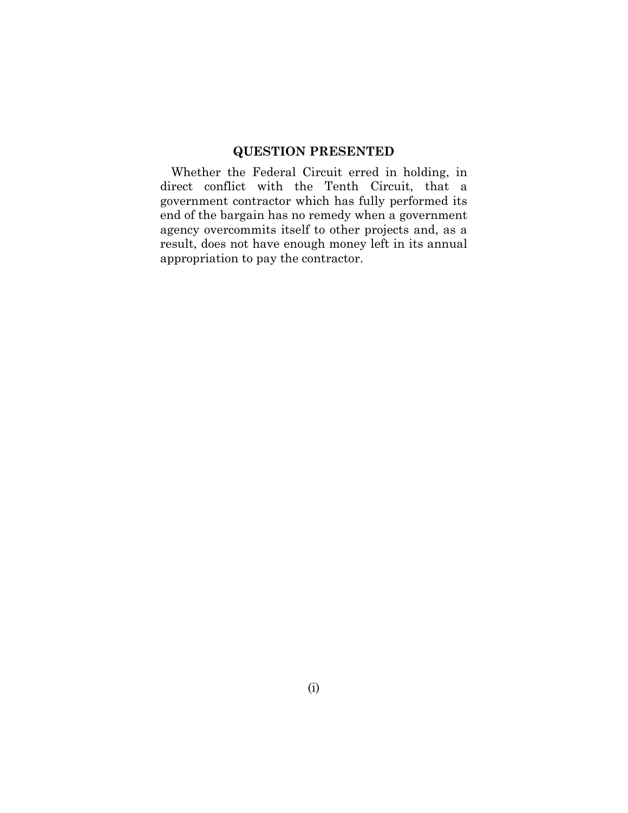## **QUESTION PRESENTED**

Whether the Federal Circuit erred in holding, in direct conflict with the Tenth Circuit, that a government contractor which has fully performed its end of the bargain has no remedy when a government agency overcommits itself to other projects and, as a result, does not have enough money left in its annual appropriation to pay the contractor.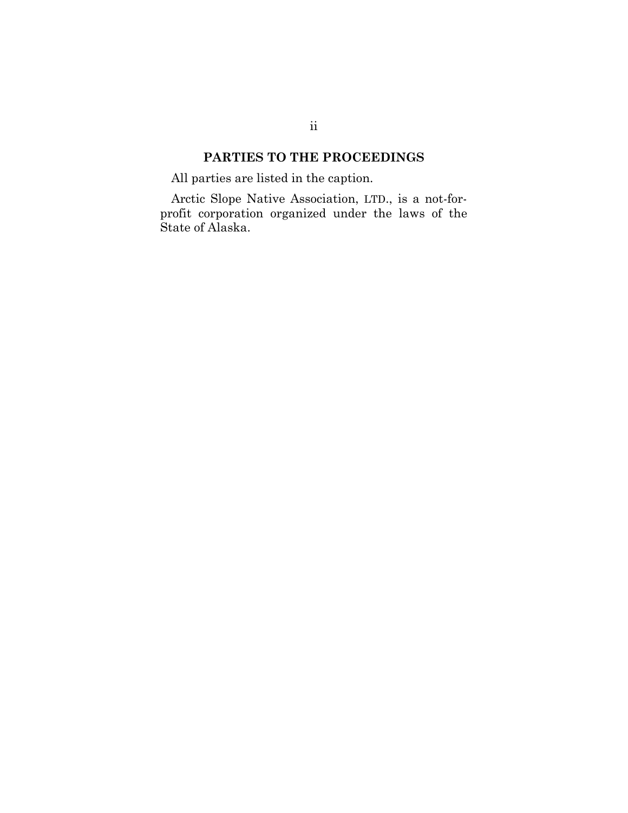# **PARTIES TO THE PROCEEDINGS**

All parties are listed in the caption.

Arctic Slope Native Association, LTD., is a not-forprofit corporation organized under the laws of the State of Alaska.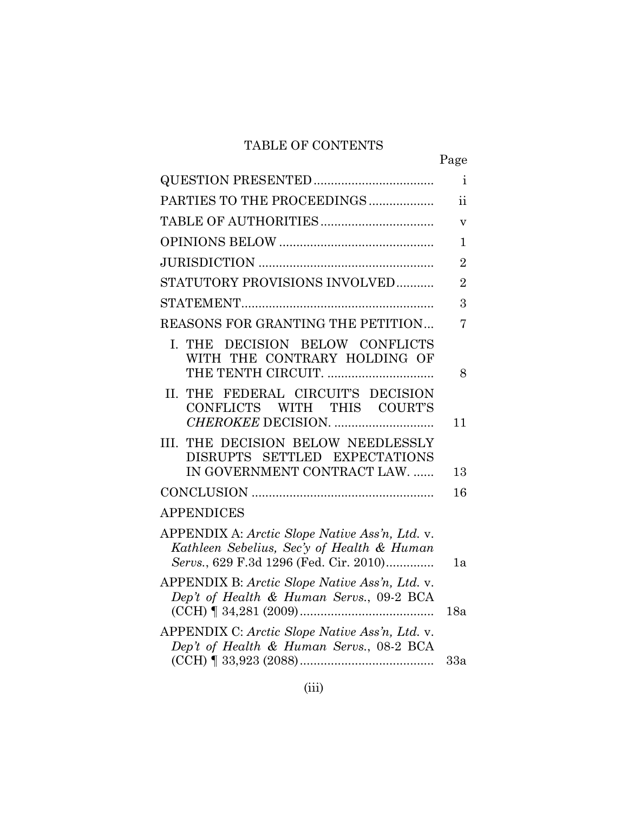# TABLE OF CONTENTS

|                                                                                                                                        | Page                     |
|----------------------------------------------------------------------------------------------------------------------------------------|--------------------------|
|                                                                                                                                        | $\mathbf{i}$             |
| PARTIES TO THE PROCEEDINGS                                                                                                             | $\overline{\textbf{ii}}$ |
|                                                                                                                                        | $\overline{\mathbf{V}}$  |
|                                                                                                                                        | $\mathbf{1}$             |
|                                                                                                                                        | $\overline{2}$           |
| STATUTORY PROVISIONS INVOLVED                                                                                                          | $\overline{2}$           |
|                                                                                                                                        | 3                        |
| REASONS FOR GRANTING THE PETITION                                                                                                      | $\overline{7}$           |
| I. THE DECISION BELOW CONFLICTS<br>WITH THE CONTRARY HOLDING OF<br>THE TENTH CIRCUIT.                                                  | 8                        |
| THE FEDERAL CIRCUIT'S DECISION<br>II.<br>CONFLICTS WITH THIS COURT'S                                                                   | 11                       |
| THE DECISION BELOW NEEDLESSLY<br>III.<br>DISRUPTS SETTLED EXPECTATIONS<br>IN GOVERNMENT CONTRACT LAW.                                  | 13                       |
|                                                                                                                                        | 16                       |
| <b>APPENDICES</b>                                                                                                                      |                          |
| APPENDIX A: Arctic Slope Native Ass'n, Ltd. v.<br>Kathleen Sebelius, Sec'y of Health & Human<br>Servs., 629 F.3d 1296 (Fed. Cir. 2010) | 1a                       |
| APPENDIX B: Arctic Slope Native Ass'n, Ltd. v.<br>Dep't of Health & Human Servs., 09-2 BCA<br>$(CCH)$   34,281 (2009)                  | 18a                      |
| APPENDIX C: Arctic Slope Native Ass'n, Ltd. v.<br>Dep't of Health & Human Servs., 08-2 BCA                                             |                          |
|                                                                                                                                        | 33a                      |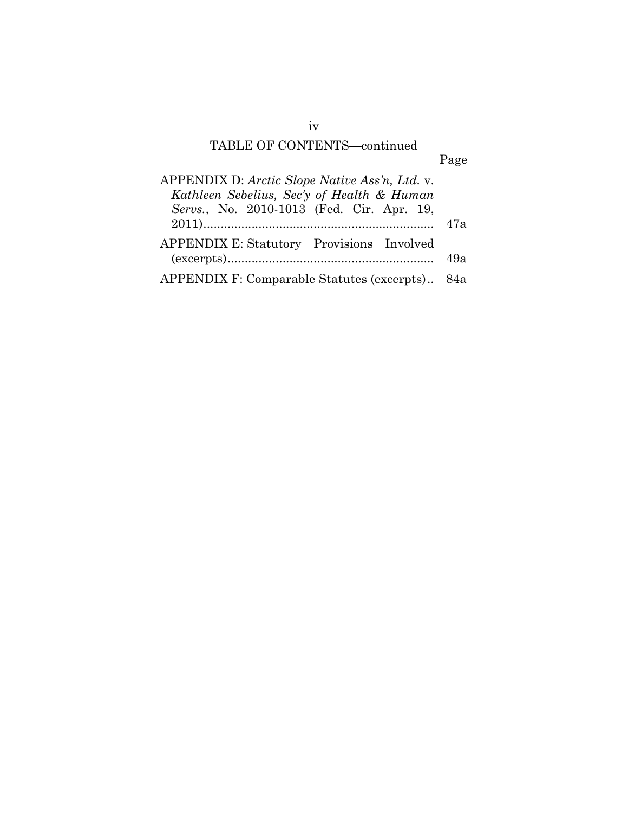# TABLE OF CONTENTS—continued

# Page

| APPENDIX D: Arctic Slope Native Ass'n, Ltd. v. |     |
|------------------------------------------------|-----|
| Kathleen Sebelius, Sec'y of Health & Human     |     |
| Servs., No. 2010-1013 (Fed. Cir. Apr. 19,      |     |
|                                                | 47а |
| APPENDIX E: Statutory Provisions Involved      |     |
|                                                | 49а |
| APPENDIX F: Comparable Statutes (excerpts) 84a |     |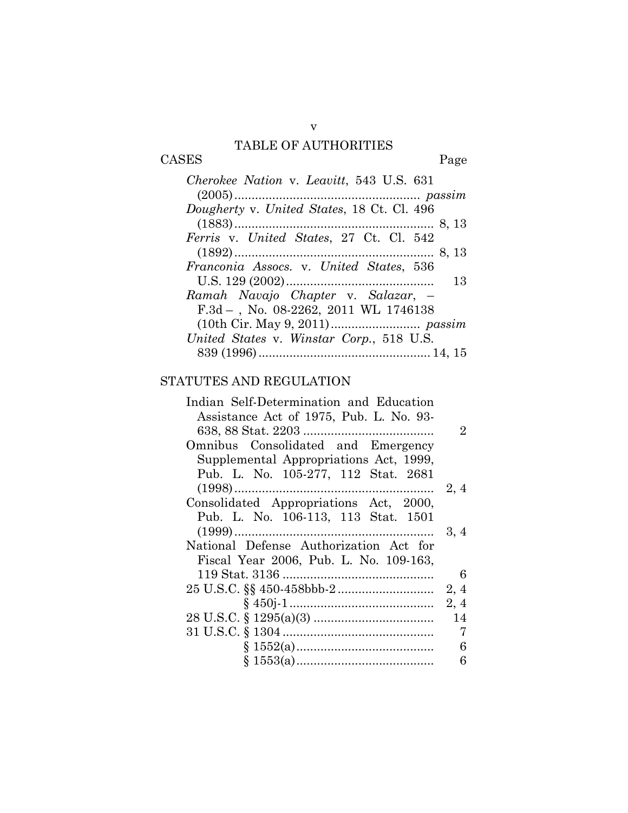# TABLE OF AUTHORITIES

# CASES Page

| Cherokee Nation v. Leavitt, 543 U.S. 631   |
|--------------------------------------------|
|                                            |
| Dougherty v. United States, 18 Ct. Cl. 496 |
|                                            |
| Ferris v. United States, 27 Ct. Cl. 542    |
|                                            |
| Franconia Assocs. v. United States, 536    |
| 13                                         |
| Ramah Navajo Chapter v. Salazar, –         |
| $F.3d-.$ No. 08-2262, 2011 WL 1746138      |
|                                            |
| United States v. Winstar Corp., 518 U.S.   |
|                                            |

# STATUTES AND REGULATION

| Indian Self-Determination and Education |      |
|-----------------------------------------|------|
| Assistance Act of 1975, Pub. L. No. 93- |      |
|                                         | 2    |
| Omnibus Consolidated and Emergency      |      |
| Supplemental Appropriations Act, 1999,  |      |
| Pub. L. No. 105-277, 112 Stat. 2681     |      |
|                                         | 2, 4 |
| Consolidated Appropriations Act, 2000,  |      |
| Pub. L. No. 106-113, 113 Stat. 1501     |      |
|                                         | 3, 4 |
| National Defense Authorization Act for  |      |
| Fiscal Year 2006, Pub. L. No. 109-163,  |      |
|                                         | 6    |
|                                         | 2, 4 |
|                                         | 2, 4 |
|                                         | 14   |
|                                         | 7    |
|                                         | 6    |
|                                         | 6    |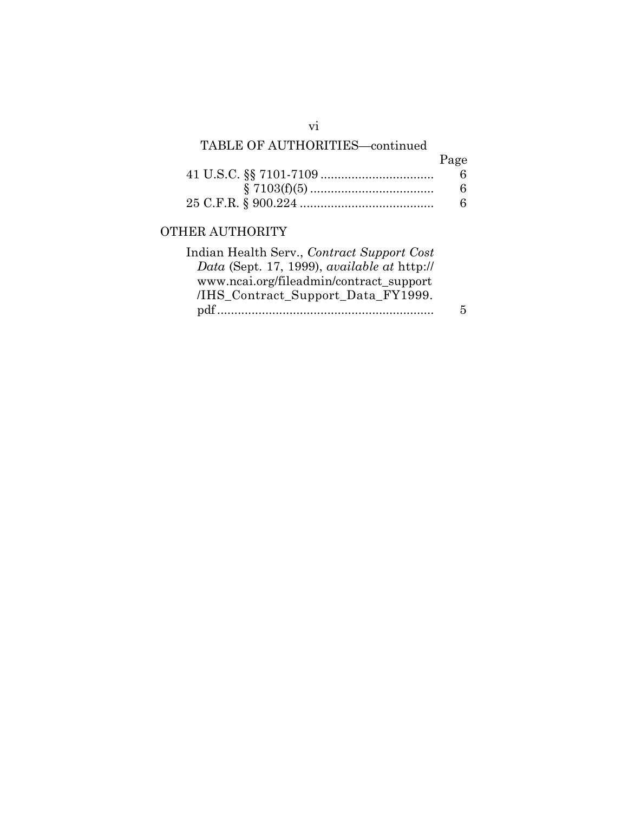# TABLE OF AUTHORITIES—continued

| Page |
|------|
| Б.   |
| 6    |
| 6    |

# OTHER AUTHORITY

| Indian Health Serv., Contract Support Cost  |   |
|---------------------------------------------|---|
| Data (Sept. 17, 1999), available at http:// |   |
| www.ncai.org/fileadmin/contract support     |   |
| /IHS Contract Support Data FY1999.          |   |
|                                             | 5 |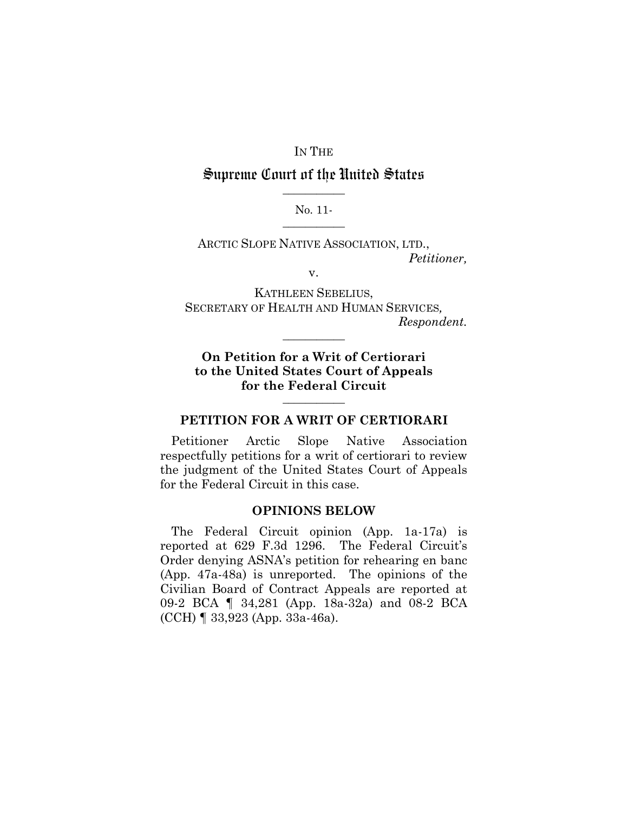## IN THE

# Supreme Court of the United States **\_\_\_\_\_\_\_\_\_\_\_**

#### No. 11- **\_\_\_\_\_\_\_\_\_\_\_**

ARCTIC SLOPE NATIVE ASSOCIATION, LTD., *Petitioner,*

v.

KATHLEEN SEBELIUS, SECRETARY OF HEALTH AND HUMAN SERVICES*, Respondent.*

**On Petition for a Writ of Certiorari to the United States Court of Appeals for the Federal Circuit**

**\_\_\_\_\_\_\_\_\_\_\_**

### **PETITION FOR A WRIT OF CERTIORARI**

**\_\_\_\_\_\_\_\_\_\_\_**

Petitioner Arctic Slope Native Association respectfully petitions for a writ of certiorari to review the judgment of the United States Court of Appeals for the Federal Circuit in this case.

### **OPINIONS BELOW**

The Federal Circuit opinion (App. 1a-17a) is reported at 629 F.3d 1296. The Federal Circuit's Order denying ASNA's petition for rehearing en banc (App. 47a-48a) is unreported. The opinions of the Civilian Board of Contract Appeals are reported at 09-2 BCA ¶ 34,281 (App. 18a-32a) and 08-2 BCA (CCH) ¶ 33,923 (App. 33a-46a).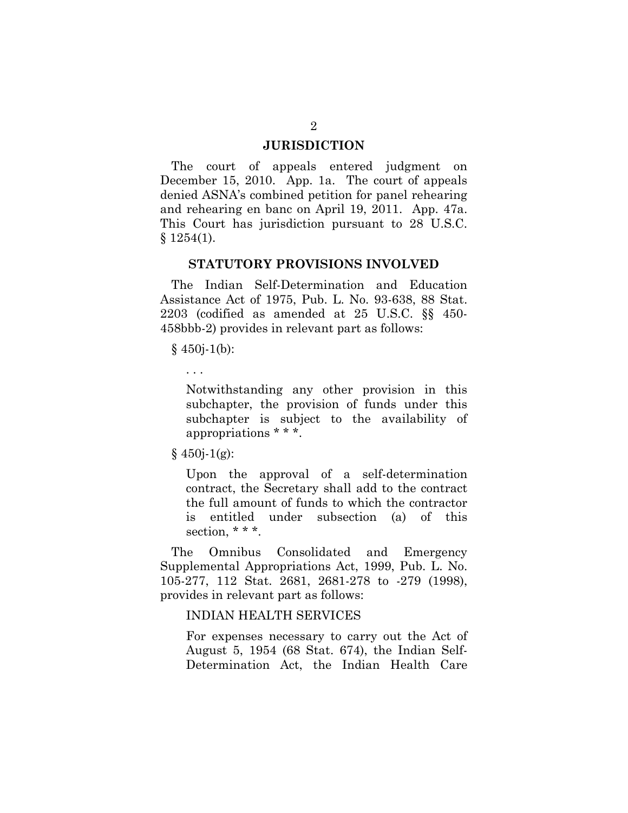#### **JURISDICTION**

The court of appeals entered judgment on December 15, 2010. App. 1a. The court of appeals denied ASNA's combined petition for panel rehearing and rehearing en banc on April 19, 2011. App. 47a. This Court has jurisdiction pursuant to 28 U.S.C.  $$1254(1).$ 

## **STATUTORY PROVISIONS INVOLVED**

The Indian Self-Determination and Education Assistance Act of 1975, Pub. L. No. 93-638, 88 Stat. 2203 (codified as amended at 25 U.S.C. §§ 450- 458bbb-2) provides in relevant part as follows:

 $§$  450*j*-1(b):

. . .

Notwithstanding any other provision in this subchapter, the provision of funds under this subchapter is subject to the availability of appropriations \* \* \*.

 $§$  450*j*-1(g):

Upon the approval of a self-determination contract, the Secretary shall add to the contract the full amount of funds to which the contractor is entitled under subsection (a) of this section,  $***$ .

The Omnibus Consolidated and Emergency Supplemental Appropriations Act, 1999, Pub. L. No. 105-277, 112 Stat. 2681, 2681-278 to -279 (1998), provides in relevant part as follows:

### INDIAN HEALTH SERVICES

For expenses necessary to carry out the Act of August 5, 1954 (68 Stat. 674), the Indian Self-Determination Act, the Indian Health Care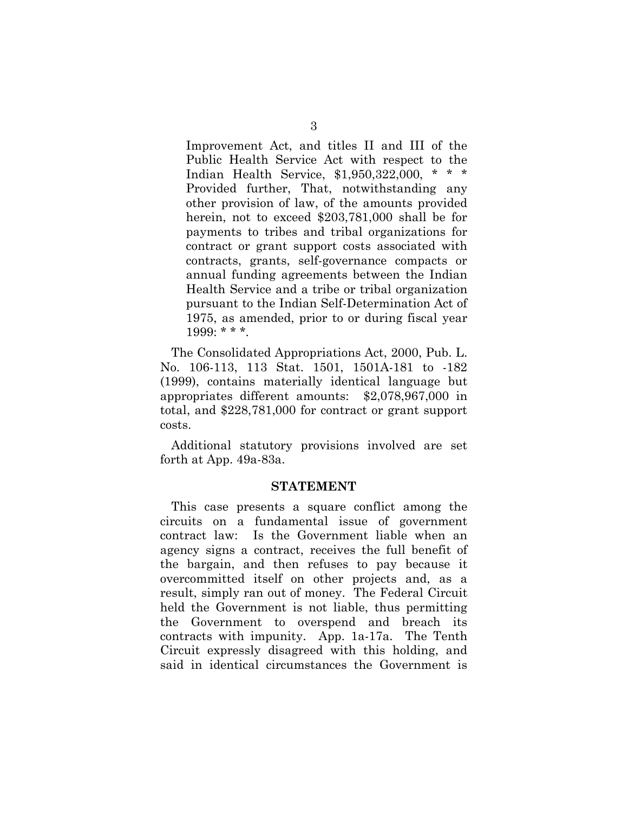Improvement Act, and titles II and III of the Public Health Service Act with respect to the Indian Health Service, \$1,950,322,000, \* \* \* Provided further, That, notwithstanding any other provision of law, of the amounts provided herein, not to exceed \$203,781,000 shall be for payments to tribes and tribal organizations for contract or grant support costs associated with contracts, grants, self-governance compacts or annual funding agreements between the Indian Health Service and a tribe or tribal organization pursuant to the Indian Self-Determination Act of 1975, as amended, prior to or during fiscal year 1999: \* \* \*.

The Consolidated Appropriations Act, 2000, Pub. L. No. 106-113, 113 Stat. 1501, 1501A-181 to -182 (1999), contains materially identical language but appropriates different amounts: \$2,078,967,000 in total, and \$228,781,000 for contract or grant support costs.

Additional statutory provisions involved are set forth at App. 49a-83a.

#### **STATEMENT**

This case presents a square conflict among the circuits on a fundamental issue of government contract law: Is the Government liable when an agency signs a contract, receives the full benefit of the bargain, and then refuses to pay because it overcommitted itself on other projects and, as a result, simply ran out of money. The Federal Circuit held the Government is not liable, thus permitting the Government to overspend and breach its contracts with impunity. App. 1a-17a. The Tenth Circuit expressly disagreed with this holding, and said in identical circumstances the Government is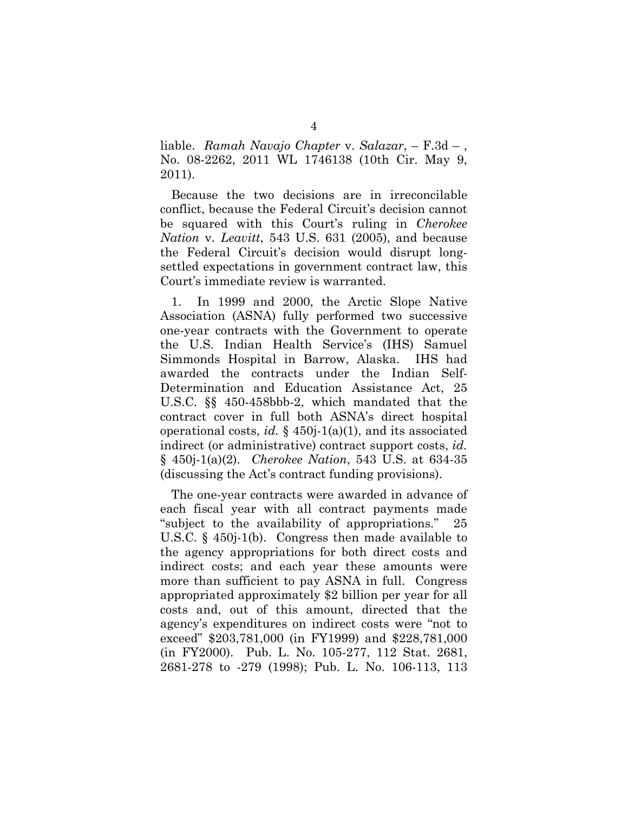liable. *Ramah Navajo Chapter* v. *Salazar*, – F.3d – , No. 08-2262, 2011 WL 1746138 (10th Cir. May 9, 2011).

Because the two decisions are in irreconcilable conflict, because the Federal Circuit's decision cannot be squared with this Court's ruling in *Cherokee Nation* v. *Leavitt*, 543 U.S. 631 (2005), and because the Federal Circuit's decision would disrupt longsettled expectations in government contract law, this Court's immediate review is warranted.

1. In 1999 and 2000, the Arctic Slope Native Association (ASNA) fully performed two successive one-year contracts with the Government to operate the U.S. Indian Health Service's (IHS) Samuel Simmonds Hospital in Barrow, Alaska. IHS had awarded the contracts under the Indian Self-Determination and Education Assistance Act, 25 U.S.C. §§ 450-458bbb-2, which mandated that the contract cover in full both ASNA's direct hospital operational costs, *id.* § 450j-1(a)(1), and its associated indirect (or administrative) contract support costs, *id.* § 450j-1(a)(2). *Cherokee Nation*, 543 U.S. at 634-35 (discussing the Act's contract funding provisions).

The one-year contracts were awarded in advance of each fiscal year with all contract payments made "subject to the availability of appropriations." 25 U.S.C. § 450j-1(b). Congress then made available to the agency appropriations for both direct costs and indirect costs; and each year these amounts were more than sufficient to pay ASNA in full. Congress appropriated approximately \$2 billion per year for all costs and, out of this amount, directed that the agency's expenditures on indirect costs were "not to exceed" \$203,781,000 (in FY1999) and \$228,781,000 (in FY2000). Pub. L. No. 105-277, 112 Stat. 2681, 2681-278 to -279 (1998); Pub. L. No. 106-113, 113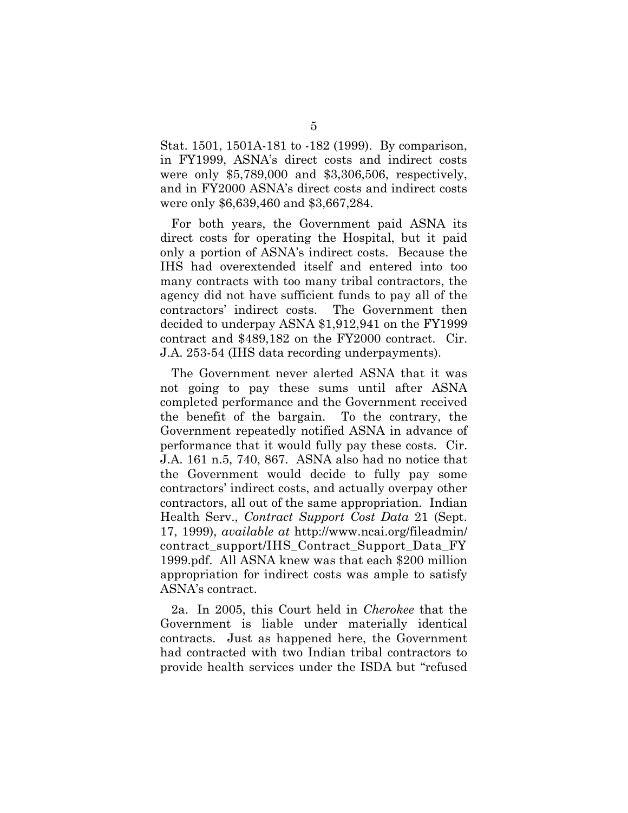Stat. 1501, 1501A-181 to -182 (1999). By comparison, in FY1999, ASNA's direct costs and indirect costs were only \$5,789,000 and \$3,306,506, respectively, and in FY2000 ASNA's direct costs and indirect costs were only \$6,639,460 and \$3,667,284.

For both years, the Government paid ASNA its direct costs for operating the Hospital, but it paid only a portion of ASNA's indirect costs. Because the IHS had overextended itself and entered into too many contracts with too many tribal contractors, the agency did not have sufficient funds to pay all of the contractors' indirect costs. The Government then decided to underpay ASNA \$1,912,941 on the FY1999 contract and \$489,182 on the FY2000 contract. Cir. J.A. 253-54 (IHS data recording underpayments).

The Government never alerted ASNA that it was not going to pay these sums until after ASNA completed performance and the Government received the benefit of the bargain. To the contrary, the Government repeatedly notified ASNA in advance of performance that it would fully pay these costs. Cir. J.A. 161 n.5, 740, 867. ASNA also had no notice that the Government would decide to fully pay some contractors' indirect costs, and actually overpay other contractors, all out of the same appropriation. Indian Health Serv., *Contract Support Cost Data* 21 (Sept. 17, 1999), *available at* http://www.ncai.org/fileadmin/ contract\_support/IHS\_Contract\_Support\_Data\_FY 1999.pdf. All ASNA knew was that each \$200 million appropriation for indirect costs was ample to satisfy ASNA's contract.

2a. In 2005, this Court held in *Cherokee* that the Government is liable under materially identical contracts. Just as happened here, the Government had contracted with two Indian tribal contractors to provide health services under the ISDA but "refused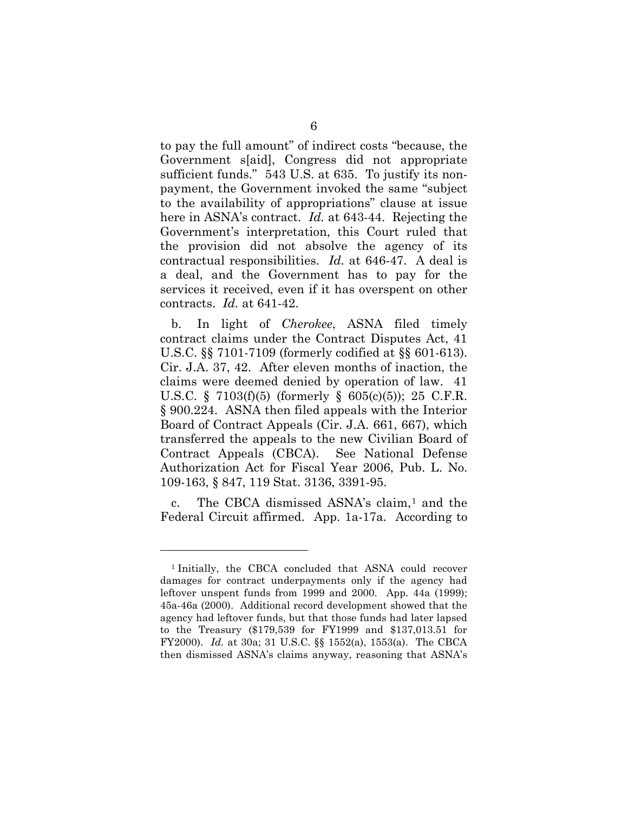to pay the full amount" of indirect costs "because, the Government s[aid], Congress did not appropriate sufficient funds." 543 U.S. at 635. To justify its nonpayment, the Government invoked the same "subject to the availability of appropriations" clause at issue here in ASNA's contract. *Id.* at 643-44. Rejecting the Government's interpretation, this Court ruled that the provision did not absolve the agency of its contractual responsibilities. *Id.* at 646-47. A deal is a deal, and the Government has to pay for the services it received, even if it has overspent on other contracts. *Id.* at 641-42.

b. In light of *Cherokee*, ASNA filed timely contract claims under the Contract Disputes Act, 41 U.S.C. §§ 7101-7109 (formerly codified at §§ 601-613). Cir. J.A. 37, 42. After eleven months of inaction, the claims were deemed denied by operation of law. 41 U.S.C. § 7103(f)(5) (formerly § 605(c)(5)); 25 C.F.R. § 900.224. ASNA then filed appeals with the Interior Board of Contract Appeals (Cir. J.A. 661, 667), which transferred the appeals to the new Civilian Board of Contract Appeals (CBCA). See National Defense Authorization Act for Fiscal Year 2006, Pub. L. No. 109-163, § 847, 119 Stat. 3136, 3391-95.

c. The CBCA dismissed ASNA's claim,<sup>[1](#page-12-0)</sup> and the Federal Circuit affirmed. App. 1a-17a. According to

 $\overline{a}$ 

<span id="page-12-0"></span><sup>1</sup> Initially, the CBCA concluded that ASNA could recover damages for contract underpayments only if the agency had leftover unspent funds from 1999 and 2000. App. 44a (1999); 45a-46a (2000). Additional record development showed that the agency had leftover funds, but that those funds had later lapsed to the Treasury (\$179,539 for FY1999 and \$137,013.51 for FY2000). *Id.* at 30a; 31 U.S.C. §§ 1552(a), 1553(a). The CBCA then dismissed ASNA's claims anyway, reasoning that ASNA's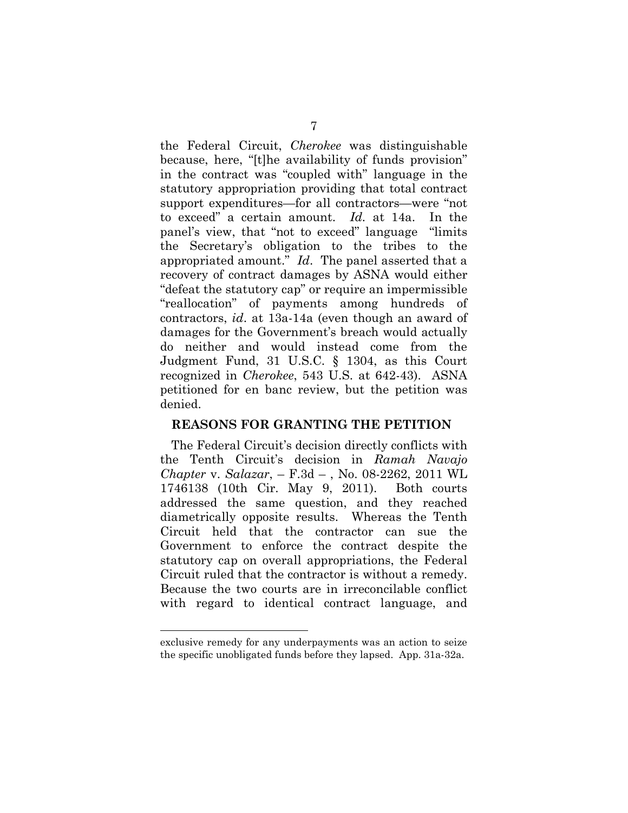the Federal Circuit, *Cherokee* was distinguishable because, here, "[t]he availability of funds provision" in the contract was "coupled with" language in the statutory appropriation providing that total contract support expenditures—for all contractors—were "not to exceed" a certain amount. *Id.* at 14a. In the panel's view, that "not to exceed" language "limits the Secretary's obligation to the tribes to the appropriated amount." *Id*. The panel asserted that a recovery of contract damages by ASNA would either "defeat the statutory cap" or require an impermissible "reallocation" of payments among hundreds of contractors, *id*. at 13a-14a (even though an award of damages for the Government's breach would actually do neither and would instead come from the Judgment Fund, 31 U.S.C. § 1304, as this Court recognized in *Cherokee*, 543 U.S. at 642-43). ASNA petitioned for en banc review, but the petition was denied.

### **REASONS FOR GRANTING THE PETITION**

The Federal Circuit's decision directly conflicts with the Tenth Circuit's decision in *Ramah Navajo Chapter* v. *Salazar*, – F.3d – , No. 08-2262, 2011 WL 1746138 (10th Cir. May 9, 2011).Both courts addressed the same question, and they reached diametrically opposite results. Whereas the Tenth Circuit held that the contractor can sue the Government to enforce the contract despite the statutory cap on overall appropriations, the Federal Circuit ruled that the contractor is without a remedy. Because the two courts are in irreconcilable conflict with regard to identical contract language, and

 $\overline{a}$ 

exclusive remedy for any underpayments was an action to seize the specific unobligated funds before they lapsed. App. 31a-32a.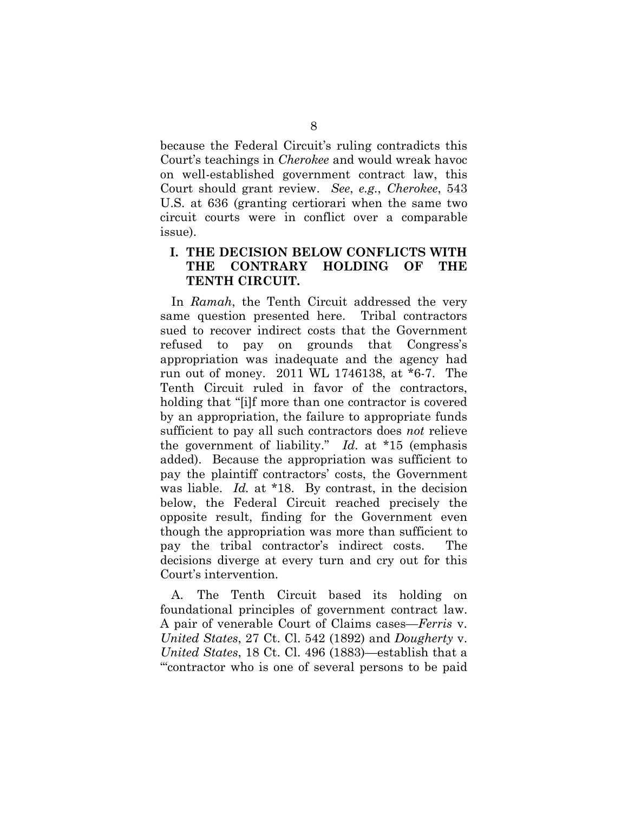because the Federal Circuit's ruling contradicts this Court's teachings in *Cherokee* and would wreak havoc on well-established government contract law, this Court should grant review. *See*, *e.g.*, *Cherokee*, 543 U.S. at 636 (granting certiorari when the same two circuit courts were in conflict over a comparable issue).

## **I. THE DECISION BELOW CONFLICTS WITH THE CONTRARY HOLDING OF THE TENTH CIRCUIT.**

In *Ramah*, the Tenth Circuit addressed the very same question presented here. Tribal contractors sued to recover indirect costs that the Government refused to pay on grounds that Congress's appropriation was inadequate and the agency had run out of money. 2011 WL 1746138, at \*6-7. The Tenth Circuit ruled in favor of the contractors, holding that "[i]f more than one contractor is covered by an appropriation, the failure to appropriate funds sufficient to pay all such contractors does *not* relieve the government of liability." *Id*. at \*15 (emphasis added). Because the appropriation was sufficient to pay the plaintiff contractors' costs, the Government was liable. *Id.* at \*18. By contrast, in the decision below, the Federal Circuit reached precisely the opposite result, finding for the Government even though the appropriation was more than sufficient to pay the tribal contractor's indirect costs. The decisions diverge at every turn and cry out for this Court's intervention.

A. The Tenth Circuit based its holding on foundational principles of government contract law. A pair of venerable Court of Claims cases—*Ferris* v. *United States*, 27 Ct. Cl. 542 (1892) and *Dougherty* v. *United States*, 18 Ct. Cl. 496 (1883)—establish that a "'contractor who is one of several persons to be paid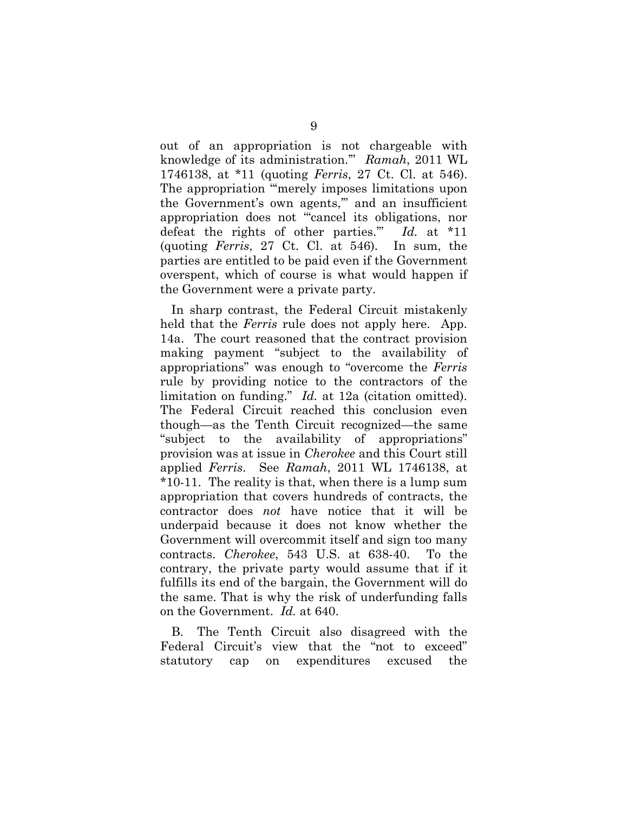out of an appropriation is not chargeable with knowledge of its administration.'" *Ramah*, 2011 WL 1746138, at \*11 (quoting *Ferris*, 27 Ct. Cl. at 546). The appropriation "merely imposes limitations upon the Government's own agents,'" and an insufficient appropriation does not "'cancel its obligations, nor defeat the rights of other parties.'" *Id.* at \*11 (quoting *Ferris*, 27 Ct. Cl. at 546). In sum, the parties are entitled to be paid even if the Government overspent, which of course is what would happen if the Government were a private party.

In sharp contrast, the Federal Circuit mistakenly held that the *Ferris* rule does not apply here. App. 14a. The court reasoned that the contract provision making payment "subject to the availability of appropriations" was enough to "overcome the *Ferris* rule by providing notice to the contractors of the limitation on funding." *Id.* at 12a (citation omitted). The Federal Circuit reached this conclusion even though—as the Tenth Circuit recognized—the same "subject to the availability of appropriations" provision was at issue in *Cherokee* and this Court still applied *Ferris*. See *Ramah*, 2011 WL 1746138, at \*10-11. The reality is that, when there is a lump sum appropriation that covers hundreds of contracts, the contractor does *not* have notice that it will be underpaid because it does not know whether the Government will overcommit itself and sign too many contracts. *Cherokee*, 543 U.S. at 638-40. To the contrary, the private party would assume that if it fulfills its end of the bargain, the Government will do the same. That is why the risk of underfunding falls on the Government. *Id.* at 640.

B. The Tenth Circuit also disagreed with the Federal Circuit's view that the "not to exceed" statutory cap on expenditures excused the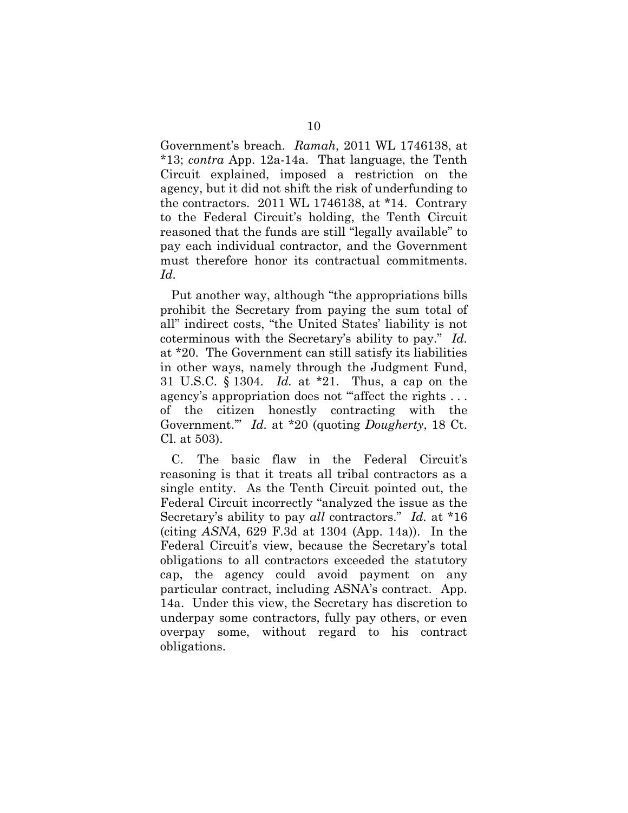Government's breach. *Ramah*, 2011 WL 1746138, at \*13; *contra* App. 12a-14a. That language, the Tenth Circuit explained, imposed a restriction on the agency, but it did not shift the risk of underfunding to the contractors. 2011 WL 1746138, at \*14.Contrary to the Federal Circuit's holding, the Tenth Circuit reasoned that the funds are still "legally available" to pay each individual contractor, and the Government must therefore honor its contractual commitments. *Id.*

Put another way, although "the appropriations bills prohibit the Secretary from paying the sum total of all" indirect costs, "the United States' liability is not coterminous with the Secretary's ability to pay." *Id.* at \*20. The Government can still satisfy its liabilities in other ways, namely through the Judgment Fund, 31 U.S.C. § 1304. *Id.* at \*21. Thus, a cap on the agency's appropriation does not "affect the rights ... of the citizen honestly contracting with the Government.'" *Id.* at \*20 (quoting *Dougherty*, 18 Ct. Cl. at 503).

C. The basic flaw in the Federal Circuit's reasoning is that it treats all tribal contractors as a single entity. As the Tenth Circuit pointed out, the Federal Circuit incorrectly "analyzed the issue as the Secretary's ability to pay *all* contractors." *Id.* at \*16 (citing *ASNA*, 629 F.3d at 1304 (App. 14a)). In the Federal Circuit's view, because the Secretary's total obligations to all contractors exceeded the statutory cap, the agency could avoid payment on any particular contract, including ASNA's contract. App. 14a. Under this view, the Secretary has discretion to underpay some contractors, fully pay others, or even overpay some, without regard to his contract obligations.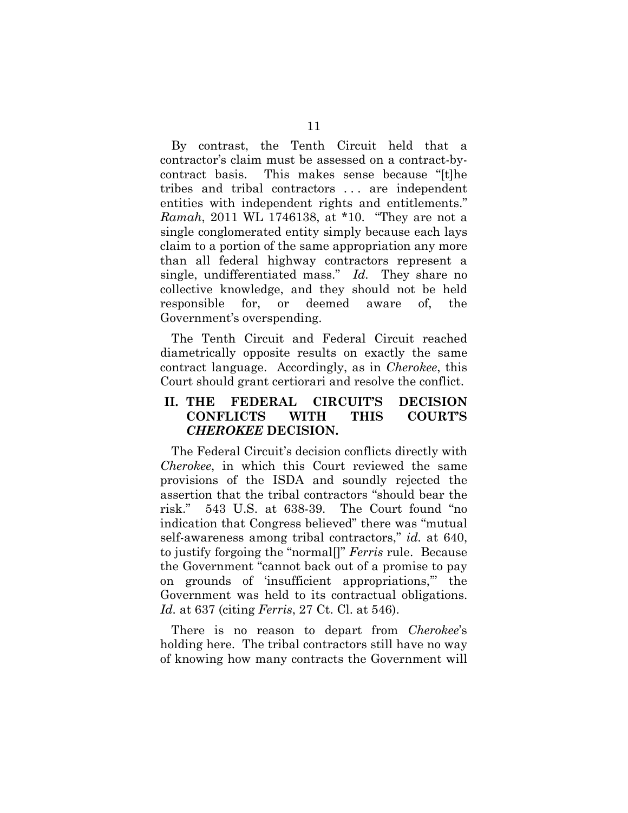By contrast, the Tenth Circuit held that a contractor's claim must be assessed on a contract-bycontract basis. This makes sense because "[t]he tribes and tribal contractors . . . are independent entities with independent rights and entitlements." *Ramah*, 2011 WL 1746138, at \*10. "They are not a single conglomerated entity simply because each lays claim to a portion of the same appropriation any more than all federal highway contractors represent a single, undifferentiated mass." *Id.* They share no collective knowledge, and they should not be held responsible for, or deemed aware of, the Government's overspending.

The Tenth Circuit and Federal Circuit reached diametrically opposite results on exactly the same contract language. Accordingly, as in *Cherokee*, this Court should grant certiorari and resolve the conflict.

## **II. THE FEDERAL CIRCUIT'S DECISION CONFLICTS WITH THIS COURT'S**  *CHEROKEE* **DECISION.**

The Federal Circuit's decision conflicts directly with *Cherokee*, in which this Court reviewed the same provisions of the ISDA and soundly rejected the assertion that the tribal contractors "should bear the risk." 543 U.S. at 638-39. The Court found "no indication that Congress believed" there was "mutual self-awareness among tribal contractors," *id.* at 640, to justify forgoing the "normal[]" *Ferris* rule. Because the Government "cannot back out of a promise to pay on grounds of 'insufficient appropriations,'" the Government was held to its contractual obligations. *Id.* at 637 (citing *Ferris*, 27 Ct. Cl. at 546).

There is no reason to depart from *Cherokee*'s holding here. The tribal contractors still have no way of knowing how many contracts the Government will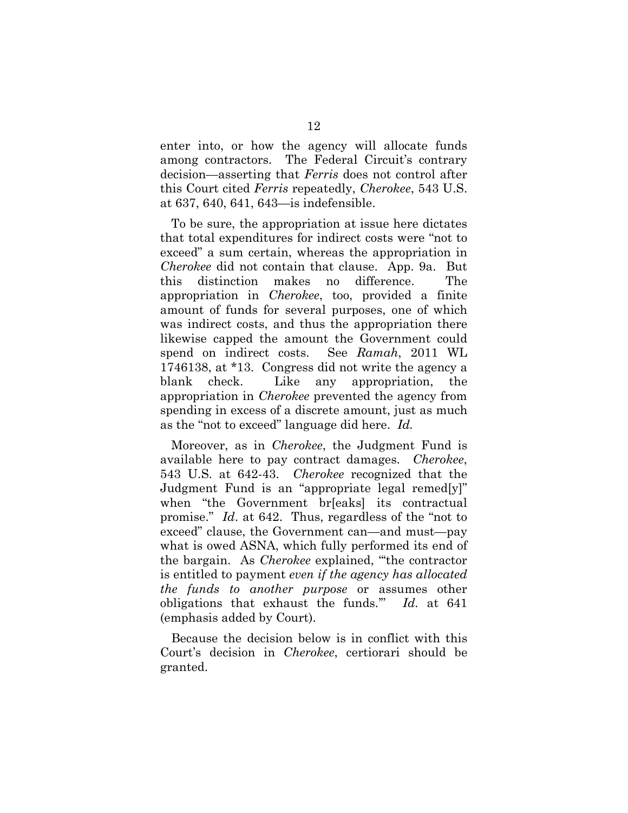enter into, or how the agency will allocate funds among contractors. The Federal Circuit's contrary decision—asserting that *Ferris* does not control after this Court cited *Ferris* repeatedly, *Cherokee*, 543 U.S. at 637, 640, 641, 643—is indefensible.

To be sure, the appropriation at issue here dictates that total expenditures for indirect costs were "not to exceed" a sum certain, whereas the appropriation in *Cherokee* did not contain that clause. App. 9a. But this distinction makes no difference. The appropriation in *Cherokee*, too, provided a finite amount of funds for several purposes, one of which was indirect costs, and thus the appropriation there likewise capped the amount the Government could spend on indirect costs. See *Ramah*, 2011 WL 1746138, at \*13. Congress did not write the agency a blank check. Like any appropriation, the appropriation in *Cherokee* prevented the agency from spending in excess of a discrete amount, just as much as the "not to exceed" language did here. *Id.*

Moreover, as in *Cherokee*, the Judgment Fund is available here to pay contract damages. *Cherokee*, 543 U.S. at 642-43. *Cherokee* recognized that the Judgment Fund is an "appropriate legal remed[y]" when "the Government br[eaks] its contractual promise." *Id*. at 642. Thus, regardless of the "not to exceed" clause, the Government can—and must—pay what is owed ASNA, which fully performed its end of the bargain. As *Cherokee* explained, "'the contractor is entitled to payment *even if the agency has allocated the funds to another purpose* or assumes other obligations that exhaust the funds.'" *Id.* at 641 (emphasis added by Court).

Because the decision below is in conflict with this Court's decision in *Cherokee*, certiorari should be granted.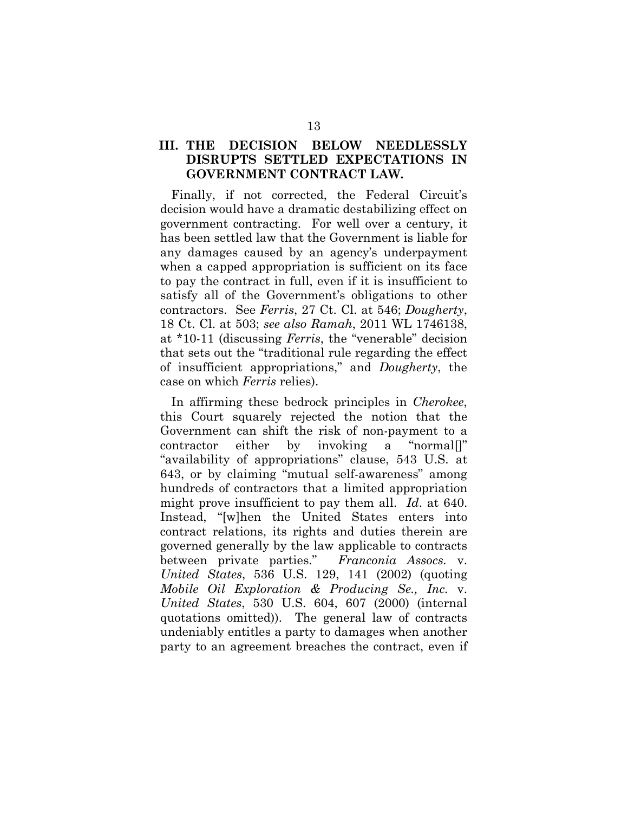## **III. THE DECISION BELOW NEEDLESSLY DISRUPTS SETTLED EXPECTATIONS IN GOVERNMENT CONTRACT LAW.**

Finally, if not corrected, the Federal Circuit's decision would have a dramatic destabilizing effect on government contracting. For well over a century, it has been settled law that the Government is liable for any damages caused by an agency's underpayment when a capped appropriation is sufficient on its face to pay the contract in full, even if it is insufficient to satisfy all of the Government's obligations to other contractors. See *Ferris*, 27 Ct. Cl. at 546; *Dougherty*, 18 Ct. Cl. at 503; *see also Ramah*, 2011 WL 1746138, at \*10-11 (discussing *Ferris*, the "venerable" decision that sets out the "traditional rule regarding the effect of insufficient appropriations," and *Dougherty*, the case on which *Ferris* relies).

In affirming these bedrock principles in *Cherokee*, this Court squarely rejected the notion that the Government can shift the risk of non-payment to a contractor either by invoking a "normal[]" "availability of appropriations" clause, 543 U.S. at 643, or by claiming "mutual self-awareness" among hundreds of contractors that a limited appropriation might prove insufficient to pay them all. *Id*. at 640. Instead, "[w]hen the United States enters into contract relations, its rights and duties therein are governed generally by the law applicable to contracts between private parties." *Franconia Assocs.* v. *United States*, 536 U.S. 129, 141 (2002) (quoting *Mobile Oil Exploration & Producing Se., Inc.* v. *United States*, 530 U.S. 604, 607 (2000) (internal quotations omitted)). The general law of contracts undeniably entitles a party to damages when another party to an agreement breaches the contract, even if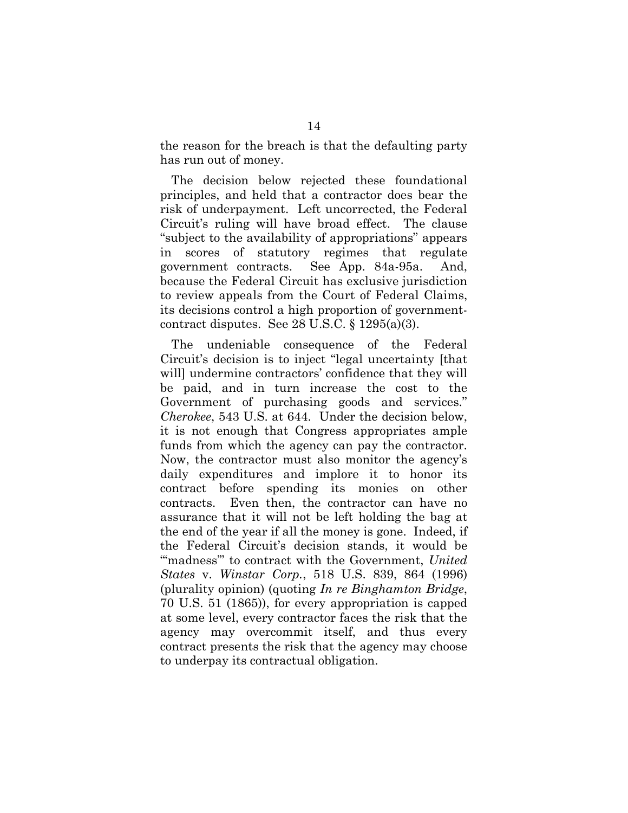the reason for the breach is that the defaulting party has run out of money.

The decision below rejected these foundational principles, and held that a contractor does bear the risk of underpayment. Left uncorrected, the Federal Circuit's ruling will have broad effect. The clause "subject to the availability of appropriations" appears in scores of statutory regimes that regulate government contracts. See App. 84a-95a. And, because the Federal Circuit has exclusive jurisdiction to review appeals from the Court of Federal Claims, its decisions control a high proportion of governmentcontract disputes. See 28 U.S.C. § 1295(a)(3).

The undeniable consequence of the Federal Circuit's decision is to inject "legal uncertainty [that will] undermine contractors' confidence that they will be paid, and in turn increase the cost to the Government of purchasing goods and services." *Cherokee*, 543 U.S. at 644. Under the decision below, it is not enough that Congress appropriates ample funds from which the agency can pay the contractor. Now, the contractor must also monitor the agency's daily expenditures and implore it to honor its contract before spending its monies on other contracts. Even then, the contractor can have no assurance that it will not be left holding the bag at the end of the year if all the money is gone. Indeed, if the Federal Circuit's decision stands, it would be "'madness'" to contract with the Government, *United States* v. *Winstar Corp.*, 518 U.S. 839, 864 (1996) (plurality opinion) (quoting *In re Binghamton Bridge*, 70 U.S. 51 (1865)), for every appropriation is capped at some level, every contractor faces the risk that the agency may overcommit itself, and thus every contract presents the risk that the agency may choose to underpay its contractual obligation.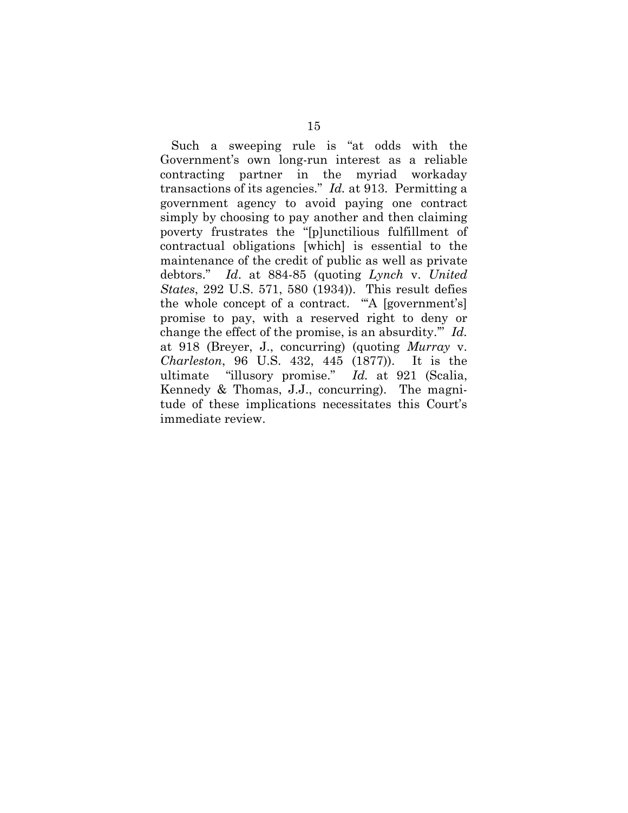Such a sweeping rule is "at odds with the Government's own long-run interest as a reliable contracting partner in the myriad workaday transactions of its agencies." *Id.* at 913. Permitting a government agency to avoid paying one contract simply by choosing to pay another and then claiming poverty frustrates the "[p]unctilious fulfillment of contractual obligations [which] is essential to the maintenance of the credit of public as well as private debtors." *Id*. at 884-85 (quoting *Lynch* v. *United States*, 292 U.S. 571, 580 (1934)). This result defies the whole concept of a contract. "'A [government's] promise to pay, with a reserved right to deny or change the effect of the promise, is an absurdity.'" *Id.* at 918 (Breyer, J., concurring) (quoting *Murray* v. *Charleston*, 96 U.S. 432, 445 (1877)). It is the ultimate "illusory promise." *Id.* at 921 (Scalia, Kennedy & Thomas, J.J., concurring). The magnitude of these implications necessitates this Court's immediate review.